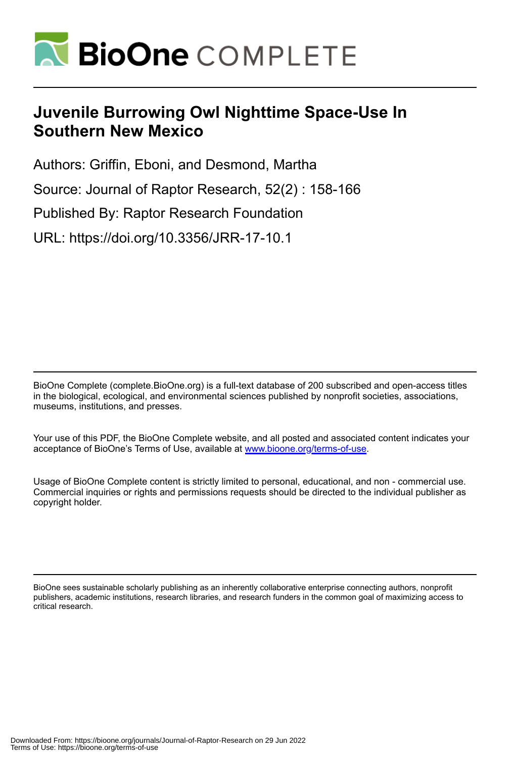

# **Juvenile Burrowing Owl Nighttime Space-Use In Southern New Mexico**

Authors: Griffin, Eboni, and Desmond, Martha

Source: Journal of Raptor Research, 52(2) : 158-166

Published By: Raptor Research Foundation

URL: https://doi.org/10.3356/JRR-17-10.1

BioOne Complete (complete.BioOne.org) is a full-text database of 200 subscribed and open-access titles in the biological, ecological, and environmental sciences published by nonprofit societies, associations, museums, institutions, and presses.

Your use of this PDF, the BioOne Complete website, and all posted and associated content indicates your acceptance of BioOne's Terms of Use, available at www.bioone.org/terms-of-use.

Usage of BioOne Complete content is strictly limited to personal, educational, and non - commercial use. Commercial inquiries or rights and permissions requests should be directed to the individual publisher as copyright holder.

BioOne sees sustainable scholarly publishing as an inherently collaborative enterprise connecting authors, nonprofit publishers, academic institutions, research libraries, and research funders in the common goal of maximizing access to critical research.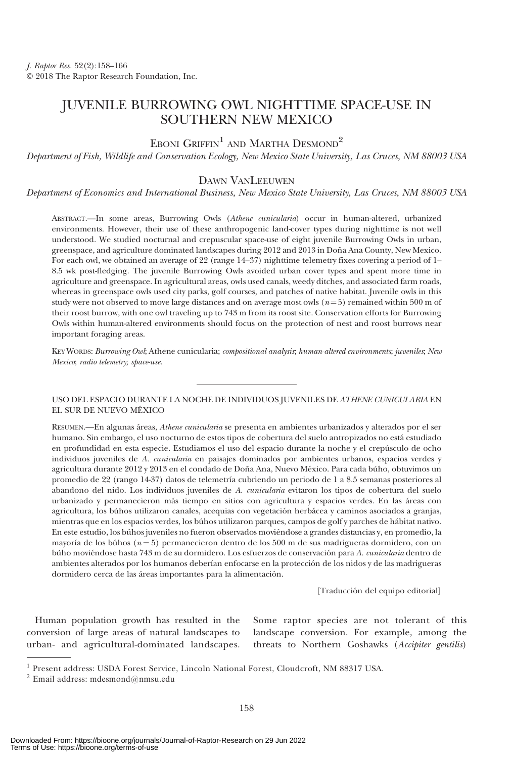# JUVENILE BURROWING OWL NIGHTTIME SPACE-USE IN SOUTHERN NEW MEXICO

## EBONI GRIFFIN<sup>1</sup> AND MARTHA DESMOND<sup>2</sup>

Department of Fish, Wildlife and Conservation Ecology, New Mexico State University, Las Cruces, NM 88003 USA

### DAWN VANLEEUWEN

Department of Economics and International Business, New Mexico State University, Las Cruces, NM 88003 USA

ABSTRACT.—In some areas, Burrowing Owls (Athene cunicularia) occur in human-altered, urbanized environments. However, their use of these anthropogenic land-cover types during nighttime is not well understood. We studied nocturnal and crepuscular space-use of eight juvenile Burrowing Owls in urban, greenspace, and agriculture dominated landscapes during 2012 and 2013 in Doña Ana County, New Mexico. For each owl, we obtained an average of 22 (range 14–37) nighttime telemetry fixes covering a period of 1– 8.5 wk post-fledging. The juvenile Burrowing Owls avoided urban cover types and spent more time in agriculture and greenspace. In agricultural areas, owls used canals, weedy ditches, and associated farm roads, whereas in greenspace owls used city parks, golf courses, and patches of native habitat. Juvenile owls in this study were not observed to move large distances and on average most owls  $(n=5)$  remained within 500 m of their roost burrow, with one owl traveling up to 743 m from its roost site. Conservation efforts for Burrowing Owls within human-altered environments should focus on the protection of nest and roost burrows near important foraging areas.

KEY WORDS: Burrowing Owl; Athene cunicularia; compositional analysis; human-altered environments; juveniles; New Mexico; radio telemetry; space-use.

USO DEL ESPACIO DURANTE LA NOCHE DE INDIVIDUOS JUVENILES DE ATHENE CUNICULARIA EN EL SUR DE NUEVO MEXICO ´

RESUMEN.—En algunas áreas, Athene cunicularia se presenta en ambientes urbanizados y alterados por el ser humano. Sin embargo, el uso nocturno de estos tipos de cobertura del suelo antropizados no está estudiado en profundidad en esta especie. Estudiamos el uso del espacio durante la noche y el crepusculo de ocho ´ individuos juveniles de A. cunicularia en paisajes dominados por ambientes urbanos, espacios verdes y agricultura durante 2012 y 2013 en el condado de Doña Ana, Nuevo México. Para cada búho, obtuvimos un promedio de 22 (rango 14-37) datos de telemetría cubriendo un periodo de 1 a 8.5 semanas posteriores al abandono del nido. Los individuos juveniles de A. cunicularia evitaron los tipos de cobertura del suelo urbanizado y permanecieron más tiempo en sitios con agricultura y espacios verdes. En las áreas con agricultura, los búhos utilizaron canales, acequias con vegetación herbácea y caminos asociados a granjas, mientras que en los espacios verdes, los búhos utilizaron parques, campos de golf y parches de hábitat nativo. En este estudio, los búhos juveniles no fueron observados moviéndose a grandes distancias y, en promedio, la mayoría de los búhos ( $n = 5$ ) permanecieron dentro de los 500 m de sus madrigueras dormidero, con un búho moviéndose hasta 743 m de su dormidero. Los esfuerzos de conservación para A. cunicularia dentro de ambientes alterados por los humanos deberían enfocarse en la protección de los nidos y de las madrigueras dormidero cerca de las áreas importantes para la alimentación.

[Traducción del equipo editorial]

Human population growth has resulted in the conversion of large areas of natural landscapes to urban- and agricultural-dominated landscapes.

Some raptor species are not tolerant of this landscape conversion. For example, among the threats to Northern Goshawks (Accipiter gentilis)

<sup>1</sup> Present address: USDA Forest Service, Lincoln National Forest, Cloudcroft, NM 88317 USA.

 $2$  Email address: mdesmond@nmsu.edu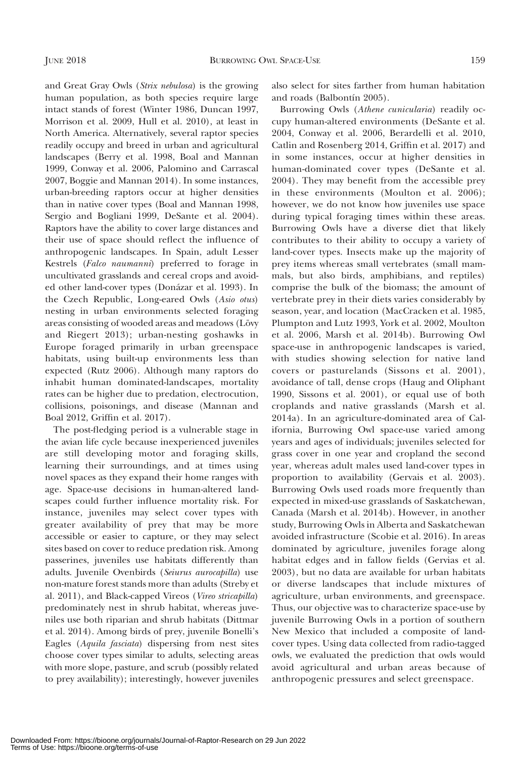and Great Gray Owls (Strix nebulosa) is the growing human population, as both species require large intact stands of forest (Winter 1986, Duncan 1997, Morrison et al. 2009, Hull et al. 2010), at least in North America. Alternatively, several raptor species readily occupy and breed in urban and agricultural landscapes (Berry et al. 1998, Boal and Mannan 1999, Conway et al. 2006, Palomino and Carrascal 2007, Boggie and Mannan 2014). In some instances, urban-breeding raptors occur at higher densities than in native cover types (Boal and Mannan 1998, Sergio and Bogliani 1999, DeSante et al. 2004). Raptors have the ability to cover large distances and their use of space should reflect the influence of anthropogenic landscapes. In Spain, adult Lesser Kestrels (Falco naumanni) preferred to forage in uncultivated grasslands and cereal crops and avoided other land-cover types (Donázar et al. 1993). In the Czech Republic, Long-eared Owls (Asio otus) nesting in urban environments selected foraging areas consisting of wooded areas and meadows (Lövy and Riegert 2013); urban-nesting goshawks in Europe foraged primarily in urban greenspace habitats, using built-up environments less than expected (Rutz 2006). Although many raptors do inhabit human dominated-landscapes, mortality rates can be higher due to predation, electrocution, collisions, poisonings, and disease (Mannan and Boal 2012, Griffin et al. 2017).

The post-fledging period is a vulnerable stage in the avian life cycle because inexperienced juveniles are still developing motor and foraging skills, learning their surroundings, and at times using novel spaces as they expand their home ranges with age. Space-use decisions in human-altered landscapes could further influence mortality risk. For instance, juveniles may select cover types with greater availability of prey that may be more accessible or easier to capture, or they may select sites based on cover to reduce predation risk. Among passerines, juveniles use habitats differently than adults. Juvenile Ovenbirds (Seiurus aurocapilla) use non-mature forest stands more than adults (Streby et al. 2011), and Black-capped Vireos (Vireo stricapilla) predominately nest in shrub habitat, whereas juveniles use both riparian and shrub habitats (Dittmar et al. 2014). Among birds of prey, juvenile Bonelli's Eagles (Aquila fasciata) dispersing from nest sites choose cover types similar to adults, selecting areas with more slope, pasture, and scrub (possibly related to prey availability); interestingly, however juveniles also select for sites farther from human habitation and roads (Balbontín 2005).

Burrowing Owls (Athene cunicularia) readily occupy human-altered environments (DeSante et al. 2004, Conway et al. 2006, Berardelli et al. 2010, Catlin and Rosenberg 2014, Griffin et al. 2017) and in some instances, occur at higher densities in human-dominated cover types (DeSante et al. 2004). They may benefit from the accessible prey in these environments (Moulton et al. 2006); however, we do not know how juveniles use space during typical foraging times within these areas. Burrowing Owls have a diverse diet that likely contributes to their ability to occupy a variety of land-cover types. Insects make up the majority of prey items whereas small vertebrates (small mammals, but also birds, amphibians, and reptiles) comprise the bulk of the biomass; the amount of vertebrate prey in their diets varies considerably by season, year, and location (MacCracken et al. 1985, Plumpton and Lutz 1993, York et al. 2002, Moulton et al. 2006, Marsh et al. 2014b). Burrowing Owl space-use in anthropogenic landscapes is varied, with studies showing selection for native land covers or pasturelands (Sissons et al. 2001), avoidance of tall, dense crops (Haug and Oliphant 1990, Sissons et al. 2001), or equal use of both croplands and native grasslands (Marsh et al. 2014a). In an agriculture-dominated area of California, Burrowing Owl space-use varied among years and ages of individuals; juveniles selected for grass cover in one year and cropland the second year, whereas adult males used land-cover types in proportion to availability (Gervais et al. 2003). Burrowing Owls used roads more frequently than expected in mixed-use grasslands of Saskatchewan, Canada (Marsh et al. 2014b). However, in another study, Burrowing Owls in Alberta and Saskatchewan avoided infrastructure (Scobie et al. 2016). In areas dominated by agriculture, juveniles forage along habitat edges and in fallow fields (Gervias et al. 2003), but no data are available for urban habitats or diverse landscapes that include mixtures of agriculture, urban environments, and greenspace. Thus, our objective was to characterize space-use by juvenile Burrowing Owls in a portion of southern New Mexico that included a composite of landcover types. Using data collected from radio-tagged owls, we evaluated the prediction that owls would avoid agricultural and urban areas because of anthropogenic pressures and select greenspace.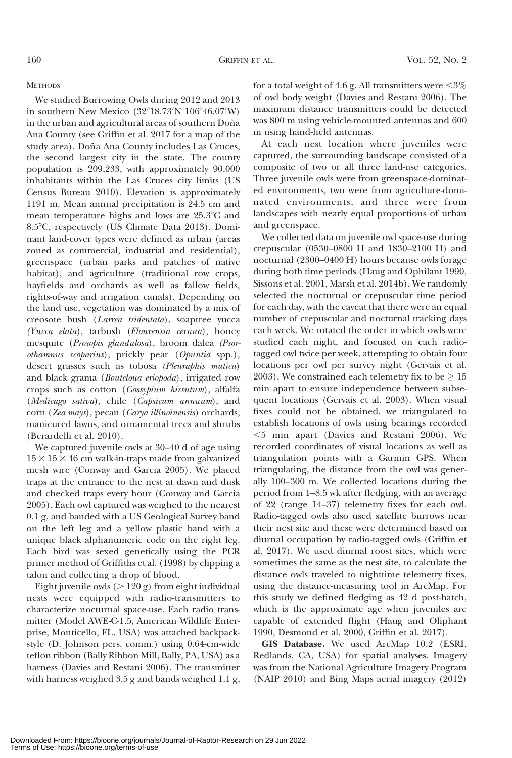### **METHODS**

We studied Burrowing Owls during 2012 and 2013 in southern New Mexico  $(32^{\circ}18.73^{\prime}N\ 106^{\circ}46.07^{\prime}W)$ in the urban and agricultural areas of southern Doña Ana County (see Griffin et al. 2017 for a map of the study area). Doña Ana County includes Las Cruces, the second largest city in the state. The county population is 209,233, with approximately 90,000 inhabitants within the Las Cruces city limits (US Census Bureau 2010). Elevation is approximately 1191 m. Mean annual precipitation is 24.5 cm and mean temperature highs and lows are 25.3°C and 8.58C, respectively (US Climate Data 2013). Dominant land-cover types were defined as urban (areas zoned as commercial, industrial and residential), greenspace (urban parks and patches of native habitat), and agriculture (traditional row crops, hayfields and orchards as well as fallow fields, rights-of-way and irrigation canals). Depending on the land use, vegetation was dominated by a mix of creosote bush (Larrea tridentata), soaptree yucca (Yucca elata), tarbush (Flourensia cernua), honey mesquite (Prosopis glandulosa), broom dalea (Psorothamnus scoparius), prickly pear (Opuntia spp.), desert grasses such as tobosa (Pleuraphis mutica) and black grama (Bouteloua eriopoda), irrigated row crops such as cotton (Gossypium hirsutum), alfalfa (Medicago sativa), chile (Capsicum annuum), and corn (Zea mays), pecan (Carya illinoinensis) orchards, manicured lawns, and ornamental trees and shrubs (Berardelli et al. 2010).

We captured juvenile owls at 30–40 d of age using  $15 \times 15 \times 46$  cm walk-in-traps made from galvanized mesh wire (Conway and Garcia 2005). We placed traps at the entrance to the nest at dawn and dusk and checked traps every hour (Conway and Garcia 2005). Each owl captured was weighed to the nearest 0.1 g, and banded with a US Geological Survey band on the left leg and a yellow plastic band with a unique black alphanumeric code on the right leg. Each bird was sexed genetically using the PCR primer method of Griffiths et al. (1998) by clipping a talon and collecting a drop of blood.

Eight juvenile owls  $(> 120 \text{ g})$  from eight individual nests were equipped with radio-transmitters to characterize nocturnal space-use. Each radio transmitter (Model AWE-C-1.5, American Wildlife Enterprise, Monticello, FL, USA) was attached backpackstyle (D. Johnson pers. comm.) using 0.64-cm-wide teflon ribbon (Bally Ribbon Mill, Bally, PA, USA) as a harness (Davies and Restani 2006). The transmitter with harness weighed 3.5 g and bands weighed 1.1 g,

for a total weight of 4.6 g. All transmitters were  $\leq 3\%$ of owl body weight (Davies and Restani 2006). The maximum distance transmitters could be detected was 800 m using vehicle-mounted antennas and 600 m using hand-held antennas.

At each nest location where juveniles were captured, the surrounding landscape consisted of a composite of two or all three land-use categories. Three juvenile owls were from greenspace-dominated environments, two were from agriculture-dominated environments, and three were from landscapes with nearly equal proportions of urban and greenspace.

We collected data on juvenile owl space-use during crepuscular (0530–0800 H and 1830–2100 H) and nocturnal (2300–0400 H) hours because owls forage during both time periods (Haug and Ophilant 1990, Sissons et al. 2001, Marsh et al. 2014b). We randomly selected the nocturnal or crepuscular time period for each day, with the caveat that there were an equal number of crepuscular and nocturnal tracking days each week. We rotated the order in which owls were studied each night, and focused on each radiotagged owl twice per week, attempting to obtain four locations per owl per survey night (Gervais et al. 2003). We constrained each telemetry fix to be  $\geq 15$ min apart to ensure independence between subsequent locations (Gervais et al. 2003). When visual fixes could not be obtained, we triangulated to establish locations of owls using bearings recorded ,5 min apart (Davies and Restani 2006). We recorded coordinates of visual locations as well as triangulation points with a Garmin GPS. When triangulating, the distance from the owl was generally 100–300 m. We collected locations during the period from 1–8.5 wk after fledging, with an average of 22 (range 14–37) telemetry fixes for each owl. Radio-tagged owls also used satellite burrows near their nest site and these were determined based on diurnal occupation by radio-tagged owls (Griffin et al. 2017). We used diurnal roost sites, which were sometimes the same as the nest site, to calculate the distance owls traveled to nighttime telemetry fixes, using the distance-measuring tool in ArcMap. For this study we defined fledging as 42 d post-hatch, which is the approximate age when juveniles are capable of extended flight (Haug and Oliphant 1990, Desmond et al. 2000, Griffin et al. 2017).

GIS Database. We used ArcMap 10.2 (ESRI, Redlands, CA, USA) for spatial analyses. Imagery was from the National Agriculture Imagery Program (NAIP 2010) and Bing Maps aerial imagery (2012)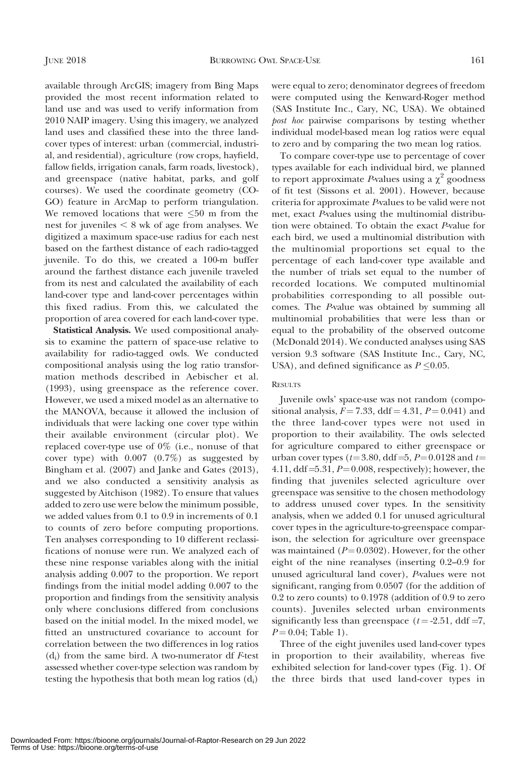available through ArcGIS; imagery from Bing Maps provided the most recent information related to land use and was used to verify information from 2010 NAIP imagery. Using this imagery, we analyzed land uses and classified these into the three landcover types of interest: urban (commercial, industrial, and residential), agriculture (row crops, hayfield, fallow fields, irrigation canals, farm roads, livestock), and greenspace (native habitat, parks, and golf courses). We used the coordinate geometry (CO-GO) feature in ArcMap to perform triangulation. We removed locations that were  $\leq 50$  m from the nest for juveniles  $< 8$  wk of age from analyses. We digitized a maximum space-use radius for each nest based on the farthest distance of each radio-tagged juvenile. To do this, we created a 100-m buffer around the farthest distance each juvenile traveled from its nest and calculated the availability of each land-cover type and land-cover percentages within this fixed radius. From this, we calculated the proportion of area covered for each land-cover type.

Statistical Analysis. We used compositional analysis to examine the pattern of space-use relative to availability for radio-tagged owls. We conducted compositional analysis using the log ratio transformation methods described in Aebischer et al. (1993), using greenspace as the reference cover. However, we used a mixed model as an alternative to the MANOVA, because it allowed the inclusion of individuals that were lacking one cover type within their available environment (circular plot). We replaced cover-type use of 0% (i.e., nonuse of that cover type) with 0.007 (0.7%) as suggested by Bingham et al. (2007) and Janke and Gates (2013), and we also conducted a sensitivity analysis as suggested by Aitchison (1982). To ensure that values added to zero use were below the minimum possible, we added values from 0.1 to 0.9 in increments of 0.1 to counts of zero before computing proportions. Ten analyses corresponding to 10 different reclassifications of nonuse were run. We analyzed each of these nine response variables along with the initial analysis adding 0.007 to the proportion. We report findings from the initial model adding 0.007 to the proportion and findings from the sensitivity analysis only where conclusions differed from conclusions based on the initial model. In the mixed model, we fitted an unstructured covariance to account for correlation between the two differences in log ratios  $(d_i)$  from the same bird. A two-numerator df F-test assessed whether cover-type selection was random by testing the hypothesis that both mean  $log$  ratios  $(d_i)$ 

were equal to zero; denominator degrees of freedom were computed using the Kenward-Roger method (SAS Institute Inc., Cary, NC, USA). We obtained post hoc pairwise comparisons by testing whether individual model-based mean log ratios were equal to zero and by comparing the two mean log ratios.

To compare cover-type use to percentage of cover types available for each individual bird, we planned to report approximate P-values using a  $\chi^2$  goodness of fit test (Sissons et al. 2001). However, because criteria for approximate P-values to be valid were not met, exact P-values using the multinomial distribution were obtained. To obtain the exact P-value for each bird, we used a multinomial distribution with the multinomial proportions set equal to the percentage of each land-cover type available and the number of trials set equal to the number of recorded locations. We computed multinomial probabilities corresponding to all possible outcomes. The P-value was obtained by summing all multinomial probabilities that were less than or equal to the probability of the observed outcome (McDonald 2014). We conducted analyses using SAS version 9.3 software (SAS Institute Inc., Cary, NC, USA), and defined significance as  $P \leq 0.05$ .

#### **RESULTS**

Juvenile owls' space-use was not random (compositional analysis,  $F = 7.33$ , ddf = 4.31,  $P = 0.041$ ) and the three land-cover types were not used in proportion to their availability. The owls selected for agriculture compared to either greenspace or urban cover types ( $t=3.80$ , ddf =5,  $P=0.0128$  and  $t=$ 4.11, ddf= $5.31, P=0.008$ , respectively); however, the finding that juveniles selected agriculture over greenspace was sensitive to the chosen methodology to address unused cover types. In the sensitivity analysis, when we added 0.1 for unused agricultural cover types in the agriculture-to-greenspace comparison, the selection for agriculture over greenspace was maintained ( $P=0.0302$ ). However, for the other eight of the nine reanalyses (inserting 0.2–0.9 for unused agricultural land cover), P-values were not significant, ranging from 0.0507 (for the addition of 0.2 to zero counts) to 0.1978 (addition of 0.9 to zero counts). Juveniles selected urban environments significantly less than greenspace ( $t = -2.51$ , ddf =7,  $P = 0.04$ ; Table 1).

Three of the eight juveniles used land-cover types in proportion to their availability, whereas five exhibited selection for land-cover types (Fig. 1). Of the three birds that used land-cover types in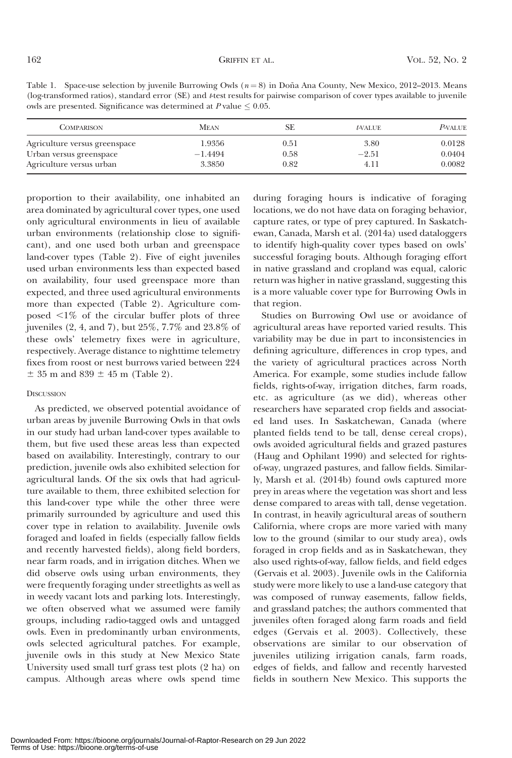| Table 1. Space-use selection by juvenile Burrowing Owls $(n=8)$ in Doña Ana County, New Mexico, 2012–2013. Means                      |  |
|---------------------------------------------------------------------------------------------------------------------------------------|--|
| (log-transformed ratios), standard error (SE) and <i>t</i> -test results for pairwise comparison of cover types available to juvenile |  |
| owls are presented. Significance was determined at $P$ value $\leq 0.05$ .                                                            |  |

| <b>COMPARISON</b>             | <b>MEAN</b> | SF   | $t$ -VALUE | <b>P-VALUE</b> |
|-------------------------------|-------------|------|------------|----------------|
| Agriculture versus greenspace | 1.9356      | 0.51 | 3.80       | 0.0128         |
| Urban versus greenspace       | $-1.4494$   | 0.58 | $-2.51$    | 0.0404         |
| Agriculture versus urban      | 3.3850      | 0.82 | 4.11       | 0.0082         |

proportion to their availability, one inhabited an area dominated by agricultural cover types, one used only agricultural environments in lieu of available urban environments (relationship close to significant), and one used both urban and greenspace land-cover types (Table 2). Five of eight juveniles used urban environments less than expected based on availability, four used greenspace more than expected, and three used agricultural environments more than expected (Table 2). Agriculture composed  $\leq 1\%$  of the circular buffer plots of three juveniles (2, 4, and 7), but 25%, 7.7% and 23.8% of these owls' telemetry fixes were in agriculture, respectively. Average distance to nighttime telemetry fixes from roost or nest burrows varied between 224  $\pm$  35 m and 839  $\pm$  45 m (Table 2).

### **DISCUSSION**

As predicted, we observed potential avoidance of urban areas by juvenile Burrowing Owls in that owls in our study had urban land-cover types available to them, but five used these areas less than expected based on availability. Interestingly, contrary to our prediction, juvenile owls also exhibited selection for agricultural lands. Of the six owls that had agriculture available to them, three exhibited selection for this land-cover type while the other three were primarily surrounded by agriculture and used this cover type in relation to availability. Juvenile owls foraged and loafed in fields (especially fallow fields and recently harvested fields), along field borders, near farm roads, and in irrigation ditches. When we did observe owls using urban environments, they were frequently foraging under streetlights as well as in weedy vacant lots and parking lots. Interestingly, we often observed what we assumed were family groups, including radio-tagged owls and untagged owls. Even in predominantly urban environments, owls selected agricultural patches. For example, juvenile owls in this study at New Mexico State University used small turf grass test plots (2 ha) on campus. Although areas where owls spend time

during foraging hours is indicative of foraging locations, we do not have data on foraging behavior, capture rates, or type of prey captured. In Saskatchewan, Canada, Marsh et al. (2014a) used dataloggers to identify high-quality cover types based on owls' successful foraging bouts. Although foraging effort in native grassland and cropland was equal, caloric return was higher in native grassland, suggesting this is a more valuable cover type for Burrowing Owls in that region.

Studies on Burrowing Owl use or avoidance of agricultural areas have reported varied results. This variability may be due in part to inconsistencies in defining agriculture, differences in crop types, and the variety of agricultural practices across North America. For example, some studies include fallow fields, rights-of-way, irrigation ditches, farm roads, etc. as agriculture (as we did), whereas other researchers have separated crop fields and associated land uses. In Saskatchewan, Canada (where planted fields tend to be tall, dense cereal crops), owls avoided agricultural fields and grazed pastures (Haug and Ophilant 1990) and selected for rightsof-way, ungrazed pastures, and fallow fields. Similarly, Marsh et al. (2014b) found owls captured more prey in areas where the vegetation was short and less dense compared to areas with tall, dense vegetation. In contrast, in heavily agricultural areas of southern California, where crops are more varied with many low to the ground (similar to our study area), owls foraged in crop fields and as in Saskatchewan, they also used rights-of-way, fallow fields, and field edges (Gervais et al. 2003). Juvenile owls in the California study were more likely to use a land-use category that was composed of runway easements, fallow fields, and grassland patches; the authors commented that juveniles often foraged along farm roads and field edges (Gervais et al. 2003). Collectively, these observations are similar to our observation of juveniles utilizing irrigation canals, farm roads, edges of fields, and fallow and recently harvested fields in southern New Mexico. This supports the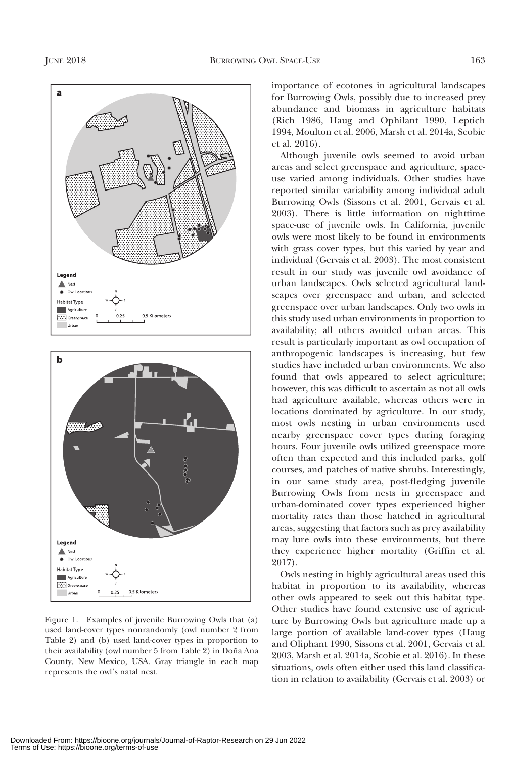



Figure 1. Examples of juvenile Burrowing Owls that (a) used land-cover types nonrandomly (owl number 2 from Table 2) and (b) used land-cover types in proportion to their availability (owl number 5 from Table 2) in Doña Ana County, New Mexico, USA. Gray triangle in each map represents the owl's natal nest.

importance of ecotones in agricultural landscapes for Burrowing Owls, possibly due to increased prey abundance and biomass in agriculture habitats (Rich 1986, Haug and Ophilant 1990, Leptich 1994, Moulton et al. 2006, Marsh et al. 2014a, Scobie et al. 2016).

Although juvenile owls seemed to avoid urban areas and select greenspace and agriculture, spaceuse varied among individuals. Other studies have reported similar variability among individual adult Burrowing Owls (Sissons et al. 2001, Gervais et al. 2003). There is little information on nighttime space-use of juvenile owls. In California, juvenile owls were most likely to be found in environments with grass cover types, but this varied by year and individual (Gervais et al. 2003). The most consistent result in our study was juvenile owl avoidance of urban landscapes. Owls selected agricultural landscapes over greenspace and urban, and selected greenspace over urban landscapes. Only two owls in this study used urban environments in proportion to availability; all others avoided urban areas. This result is particularly important as owl occupation of anthropogenic landscapes is increasing, but few studies have included urban environments. We also found that owls appeared to select agriculture; however, this was difficult to ascertain as not all owls had agriculture available, whereas others were in locations dominated by agriculture. In our study, most owls nesting in urban environments used nearby greenspace cover types during foraging hours. Four juvenile owls utilized greenspace more often than expected and this included parks, golf courses, and patches of native shrubs. Interestingly, in our same study area, post-fledging juvenile Burrowing Owls from nests in greenspace and urban-dominated cover types experienced higher mortality rates than those hatched in agricultural areas, suggesting that factors such as prey availability may lure owls into these environments, but there they experience higher mortality (Griffin et al. 2017).

Owls nesting in highly agricultural areas used this habitat in proportion to its availability, whereas other owls appeared to seek out this habitat type. Other studies have found extensive use of agriculture by Burrowing Owls but agriculture made up a large portion of available land-cover types (Haug and Oliphant 1990, Sissons et al. 2001, Gervais et al. 2003, Marsh et al. 2014a, Scobie et al. 2016). In these situations, owls often either used this land classification in relation to availability (Gervais et al. 2003) or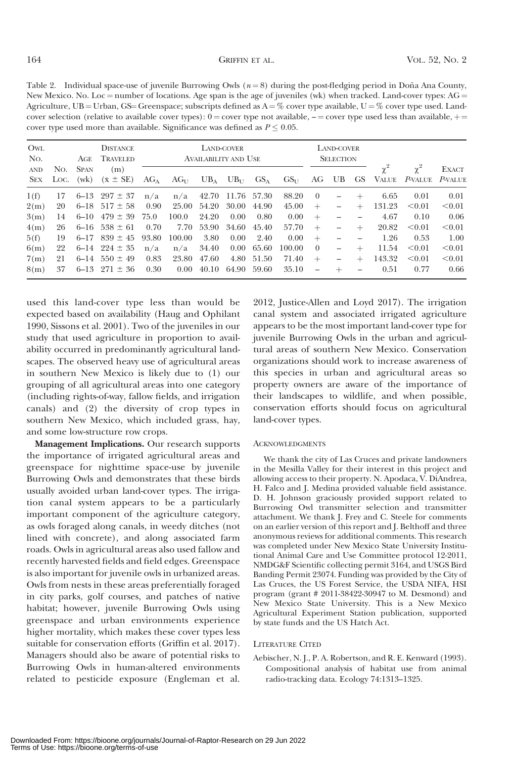Table 2. Individual space-use of juvenile Burrowing Owls  $(n = 8)$  during the post-fledging period in Doña Ana County, New Mexico. No. Loc = number of locations. Age span is the age of juveniles (wk) when tracked. Land-cover types:  $AG =$ Agriculture, UB = Urban, GS = Greenspace; subscripts defined as  $A = \%$  cover type available, U = % cover type used. Landcover selection (relative to available cover types):  $0 =$  cover type not available,  $-$  = cover type used less than available,  $+$ cover type used more than available. Significance was defined as  $P \leq 0.05$ .

| OWL<br>No.               | <b>DISTANCE</b><br>TRAVELED<br>AGE |             |                                  | LAND-COVER<br><b>AVAILABILITY AND USE</b> |           |       |                   |          | LAND-COVER<br><b>SELECTION</b> |          |  |     |            |                                                     |        |
|--------------------------|------------------------------------|-------------|----------------------------------|-------------------------------------------|-----------|-------|-------------------|----------|--------------------------------|----------|--|-----|------------|-----------------------------------------------------|--------|
| <b>AND</b><br><b>SEX</b> | No.<br>LOC.                        | <b>SPAN</b> | (m)<br>$(wk)$ $(\bar{x} \pm SE)$ | $AG_{A}$                                  | $AG_{11}$ |       | $UB_A$ $UB_{II}$  | $GS_{A}$ |                                |          |  |     | $\gamma^2$ | $\gamma^2$<br>$GSII$ AG UB GS VALUE P-VALUE P-VALUE | EXACT  |
| 1(f)                     | 17                                 | 6–13        | $297 \pm 37$                     | n/a                                       | n/a       |       | 42.70 11.76 57.30 |          | 88.20                          | $\theta$ |  |     | 6.65       | 0.01                                                | 0.01   |
| 2(m)                     | 20                                 |             | $6-18$ 517 $\pm$ 58              | 0.90                                      | 25.00     | 54.20 | 30.00             | 44.90    | 45.00                          | $+$      |  | $+$ | 131.23     | $\leq 0.01$                                         | < 0.01 |
| 3(m)                     | 14                                 |             | $6-10$ $479 \pm 39$              | 75.0                                      | 100.0     | 24.20 | 0.00              | 0.80     | 0.00                           | $^{+}$   |  |     | 4.67       | 0.10                                                | 0.06   |
| 4(m)                     | 26                                 |             | $6-16$ 538 $\pm$ 61              | 0.70                                      | 7.70      | 53.90 | 34.60             | 45.40    | 57.70                          | $+$      |  | $+$ | 20.82      | $\leq 0.01$                                         | < 0.01 |
| 5(f)                     | 19                                 | $6 - 17$    | $839 \pm 45$                     | 93.80                                     | 100.00    | 3.80  | 0.00              | 2.40     | 0.00                           | $^{+}$   |  |     | 1.26       | 0.53                                                | 1.00   |
| 6(m)                     | 22                                 |             | $6-14$ $224 \pm 35$              | n/a                                       | n/a       | 34.40 | 0.00              | 65.60    | 100.00                         | $\Omega$ |  | $+$ | 11.54      | $\leq 0.01$                                         | < 0.01 |
| 7(m)                     | 21                                 | $6 - 14$    | $550 \pm 49$                     | 0.83                                      | 23.80     | 47.60 | 4.80              | 51.50    | 71.40                          | $^{+}$   |  | $+$ | 143.32     | $\leq 0.01$                                         | < 0.01 |
| 8(m)                     | 37                                 |             | $6-13$ $271 \pm 36$              | 0.30                                      | $0.00\,$  | 40.10 | 64.90 59.60       |          | 35.10                          |          |  |     | 0.51       | 0.77                                                | 0.66   |

used this land-cover type less than would be expected based on availability (Haug and Ophilant 1990, Sissons et al. 2001). Two of the juveniles in our study that used agriculture in proportion to availability occurred in predominantly agricultural landscapes. The observed heavy use of agricultural areas in southern New Mexico is likely due to (1) our grouping of all agricultural areas into one category (including rights-of-way, fallow fields, and irrigation canals) and (2) the diversity of crop types in southern New Mexico, which included grass, hay, and some low-structure row crops.

Management Implications. Our research supports the importance of irrigated agricultural areas and greenspace for nighttime space-use by juvenile Burrowing Owls and demonstrates that these birds usually avoided urban land-cover types. The irrigation canal system appears to be a particularly important component of the agriculture category, as owls foraged along canals, in weedy ditches (not lined with concrete), and along associated farm roads. Owls in agricultural areas also used fallow and recently harvested fields and field edges. Greenspace is also important for juvenile owls in urbanized areas. Owls from nests in these areas preferentially foraged in city parks, golf courses, and patches of native habitat; however, juvenile Burrowing Owls using greenspace and urban environments experience higher mortality, which makes these cover types less suitable for conservation efforts (Griffin et al. 2017). Managers should also be aware of potential risks to Burrowing Owls in human-altered environments related to pesticide exposure (Engleman et al. 2012, Justice-Allen and Loyd 2017). The irrigation canal system and associated irrigated agriculture appears to be the most important land-cover type for juvenile Burrowing Owls in the urban and agricultural areas of southern New Mexico. Conservation organizations should work to increase awareness of this species in urban and agricultural areas so property owners are aware of the importance of their landscapes to wildlife, and when possible, conservation efforts should focus on agricultural land-cover types.

#### ACKNOWLEDGMENTS

We thank the city of Las Cruces and private landowners in the Mesilla Valley for their interest in this project and allowing access to their property. N. Apodaca, V. DiAndrea, H. Falco and J. Medina provided valuable field assistance. D. H. Johnson graciously provided support related to Burrowing Owl transmitter selection and transmitter attachment. We thank J. Frey and C. Steele for comments on an earlier version of this report and J. Belthoff and three anonymous reviews for additional comments. This research was completed under New Mexico State University Institutional Animal Care and Use Committee protocol 12-2011, NMDG&F Scientific collecting permit 3164, and USGS Bird Banding Permit 23074. Funding was provided by the City of Las Cruces, the US Forest Service, the USDA NIFA, HSI program (grant # 2011-38422-30947 to M. Desmond) and New Mexico State University. This is a New Mexico Agricultural Experiment Station publication, supported by state funds and the US Hatch Act.

#### LITERATURE CITED

Aebischer, N. J., P. A. Robertson, and R. E. Kenward (1993). Compositional analysis of habitat use from animal radio-tracking data. Ecology 74:1313–1325.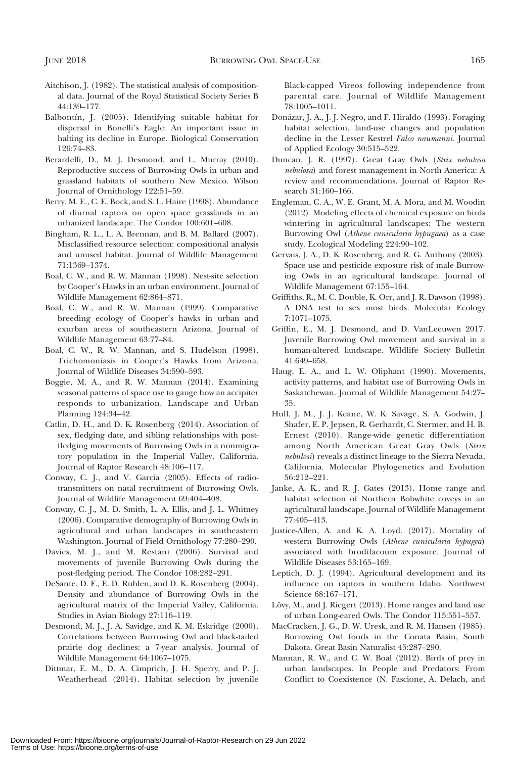- Aitchison, J. (1982). The statistical analysis of compositional data. Journal of the Royal Statistical Society Series B 44:139–177.
- Balbontín, J. (2005). Identifying suitable habitat for dispersal in Bonelli's Eagle: An important issue in halting its decline in Europe. Biological Conservation 126:74–83.
- Berardelli, D., M. J. Desmond, and L. Murray (2010). Reproductive success of Burrowing Owls in urban and grassland habitats of southern New Mexico. Wilson Journal of Ornithology 122:51–59.
- Berry, M. E., C. E. Bock, and S. L. Haire (1998). Abundance of diurnal raptors on open space grasslands in an urbanized landscape. The Condor 100:601–608.
- Bingham, R. L., L. A. Brennan, and B. M. Ballard (2007). Misclassified resource selection: compositional analysis and unused habitat. Journal of Wildlife Management 71:1369–1374.
- Boal, C. W., and R. W. Mannan (1998). Nest-site selection by Cooper's Hawks in an urban environment. Journal of Wildlife Management 62:864–871.
- Boal, C. W., and R. W. Mannan (1999). Comparative breeding ecology of Cooper's hawks in urban and exurban areas of southeastern Arizona. Journal of Wildlife Management 63:77–84.
- Boal, C. W., R. W. Mannan, and S. Hudelson (1998). Trichomoniasis in Cooper's Hawks from Arizona. Journal of Wildlife Diseases 34:590–593.
- Boggie, M. A., and R. W. Mannan (2014). Examining seasonal patterns of space use to gauge how an accipiter responds to urbanization. Landscape and Urban Planning 124:34–42.
- Catlin, D. H., and D. K. Rosenberg (2014). Association of sex, fledging date, and sibling relationships with postfledging movements of Burrowing Owls in a nonmigratory population in the Imperial Valley, California. Journal of Raptor Research 48:106–117.
- Conway, C. J., and V. Garcia (2005). Effects of radiotransmitters on natal recruitment of Burrowing Owls. Journal of Wildlife Management 69:404–408.
- Conway, C. J., M. D. Smith, L. A. Ellis, and J. L. Whitney (2006). Comparative demography of Burrowing Owls in agricultural and urban landscapes in southeastern Washington. Journal of Field Ornithology 77:280–290.
- Davies, M. J., and M. Restani (2006). Survival and movements of juvenile Burrowing Owls during the post-fledging period. The Condor 108:282–291.
- DeSante, D. F., E. D. Ruhlen, and D. K. Rosenberg (2004). Density and abundance of Burrowing Owls in the agricultural matrix of the Imperial Valley, California. Studies in Avian Biology 27:116–119.
- Desmond, M. J., J. A. Savidge, and K. M. Eskridge (2000). Correlations between Burrowing Owl and black-tailed prairie dog declines: a 7-year analysis. Journal of Wildlife Management 64:1067–1075.
- Dittmar, E. M., D. A. Cimprich, J. H. Sperry, and P. J. Weatherhead (2014). Habitat selection by juvenile

Black-capped Vireos following independence from parental care. Journal of Wildlife Management 78:1005–1011.

- Donázar, J. A., J. J. Negro, and F. Hiraldo (1993). Foraging habitat selection, land-use changes and population decline in the Lesser Kestrel Falco naumanni. Journal of Applied Ecology 30:515–522.
- Duncan, J. R. (1997). Great Gray Owls (Strix nebulosa nebulosa) and forest management in North America: A review and recommendations. Journal of Raptor Research 31:160–166.
- Engleman, C. A., W. E. Grant, M. A. Mora, and M. Woodin (2012). Modeling effects of chemical exposure on birds wintering in agricultural landscapes: The western Burrowing Owl (Athene cunicularia hypugaea) as a case study. Ecological Modeling 224:90–102.
- Gervais, J. A., D. K. Rosenberg, and R. G. Anthony (2003). Space use and pesticide exposure risk of male Burrowing Owls in an agricultural landscape. Journal of Wildlife Management 67:155–164.
- Griffiths, R., M. C. Double, K. Orr, and J. R. Dawson (1998). A DNA test to sex most birds. Molecular Ecology 7:1071–1075.
- Griffin, E., M. J. Desmond, and D. VanLeeuwen 2017. Juvenile Burrowing Owl movement and survival in a human-altered landscape. Wildlife Society Bulletin 41:649–658.
- Haug, E. A., and L. W. Oliphant (1990). Movements, activity patterns, and habitat use of Burrowing Owls in Saskatchewan. Journal of Wildlife Management 54:27– 35.
- Hull, J. M., J. J. Keane, W. K. Savage, S. A. Godwin, J. Shafer, E. P. Jepsen, R. Gerhardt, C. Stermer, and H. B. Ernest (2010). Range-wide genetic differentiation among North American Great Gray Owls (Strix nebulosi) reveals a distinct lineage to the Sierra Nevada, California. Molecular Phylogenetics and Evolution 56:212–221.
- Janke, A. K., and R. J. Gates (2013). Home range and habitat selection of Northern Bobwhite coveys in an agricultural landscape. Journal of Wildlife Management 77:405–413.
- Justice-Allen, A. and K. A. Loyd. (2017). Mortality of western Burrowing Owls (Athene cunicularia hypugea) associated with brodifacoum exposure. Journal of Wildlife Diseases 53:165–169.
- Leptich, D. J. (1994). Agricultural development and its influence on raptors in southern Idaho. Northwest Science 68:167–171.
- Lövy, M., and J. Riegert (2013). Home ranges and land use of urban Long-eared Owls. The Condor 115:551–557.
- MacCracken, J. G., D. W. Uresk, and R. M. Hansen (1985). Burrowing Owl foods in the Conata Basin, South Dakota. Great Basin Naturalist 45:287–290.
- Mannan, R. W., and C. W. Boal (2012). Birds of prey in urban landscapes. In People and Predators: From Conflict to Coexistence (N. Fascione, A. Delach, and